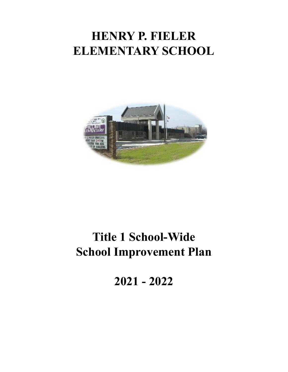## **HENRY P. FIELER ELEMENTARY SCHOOL**



# **Title 1 School-Wide School Improvement Plan**

**2021 - 2022**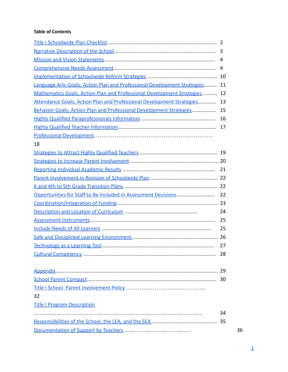#### <span id="page-1-0"></span>**Table of Contents**

|                                                                             | 3  |
|-----------------------------------------------------------------------------|----|
|                                                                             | 4  |
|                                                                             | 4  |
|                                                                             |    |
| Language Arts Goals, Action Plan and Professional Development Strategies 11 |    |
| Mathematics Goals, Action Plan and Professional Development Strategies 12   |    |
| Attendance Goals, Action Plan and Professional Development Strategies       | 13 |
| Behavior Goals, Action Plan and Professional Development Strategies         | 15 |
|                                                                             | 16 |
|                                                                             | 17 |
|                                                                             |    |
| 18                                                                          |    |
|                                                                             |    |
|                                                                             |    |
|                                                                             | 21 |
|                                                                             |    |
|                                                                             |    |
| Opportunities for Staff to Be Included in Assessment Decisions              | 22 |
|                                                                             |    |
|                                                                             | 24 |
|                                                                             | 25 |
|                                                                             | 25 |
|                                                                             |    |
|                                                                             | 27 |
|                                                                             | 28 |
|                                                                             |    |
|                                                                             |    |
|                                                                             |    |
|                                                                             |    |
| 32                                                                          |    |
| <b>Title I Program Description</b>                                          |    |
|                                                                             | 34 |
|                                                                             |    |
|                                                                             | 36 |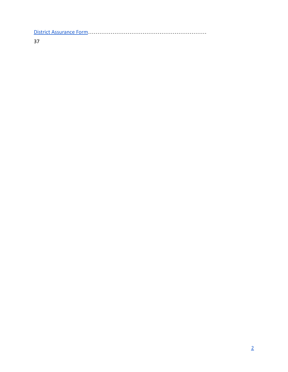[District Assurance Form](#page-38-0)………………………………………………………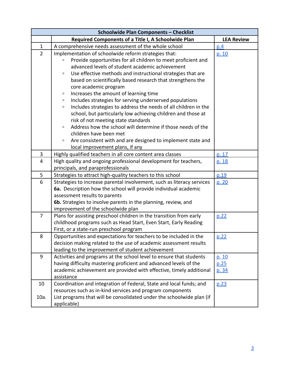<span id="page-3-0"></span>

|                | <b>Schoolwide Plan Components - Checklist</b>                             |                   |  |  |  |
|----------------|---------------------------------------------------------------------------|-------------------|--|--|--|
|                | Required Components of a Title I, A Schoolwide Plan                       | <b>LEA Review</b> |  |  |  |
| $\mathbf{1}$   | A comprehensive needs assessment of the whole school                      | p.4               |  |  |  |
| $\overline{2}$ | Implementation of schoolwide reform strategies that:                      | p. 10             |  |  |  |
|                | Provide opportunities for all children to meet proficient and<br>$\Box$   |                   |  |  |  |
|                | advanced levels of student academic achievement                           |                   |  |  |  |
|                | Use effective methods and instructional strategies that are<br>$\Box$     |                   |  |  |  |
|                | based on scientifically based research that strengthens the               |                   |  |  |  |
|                | core academic program                                                     |                   |  |  |  |
|                | Increases the amount of learning time<br>$\Box$                           |                   |  |  |  |
|                | Includes strategies for serving underserved populations<br>α              |                   |  |  |  |
|                | Includes strategies to address the needs of all children in the<br>$\Box$ |                   |  |  |  |
|                | school, but particularly low achieving children and those at              |                   |  |  |  |
|                | risk of not meeting state standards                                       |                   |  |  |  |
|                | Address how the school will determine if those needs of the<br>$\Box$     |                   |  |  |  |
|                | children have been met                                                    |                   |  |  |  |
|                | Are consistent with and are designed to implement state and<br>$\Box$     |                   |  |  |  |
|                | local improvement plans, if any                                           |                   |  |  |  |
| 3              | Highly qualified teachers in all core content area classes                | p. 17             |  |  |  |
| $\overline{4}$ | High quality and ongoing professional development for teachers,           | p. 18             |  |  |  |
|                | principals, and paraprofessionals                                         |                   |  |  |  |
| 5              | Strategies to attract high-quality teachers to this school                | p.19              |  |  |  |
| 6              | Strategies to increase parental involvement, such as literacy services    | p. 20             |  |  |  |
|                | 6a. Description how the school will provide individual academic           |                   |  |  |  |
|                | assessment results to parents                                             |                   |  |  |  |
|                | 6b. Strategies to involve parents in the planning, review, and            |                   |  |  |  |
|                | improvement of the schoolwide plan                                        |                   |  |  |  |
| $\overline{7}$ | Plans for assisting preschool children in the transition from early       | p.22              |  |  |  |
|                | childhood programs such as Head Start, Even Start, Early Reading          |                   |  |  |  |
|                | First, or a state-run preschool program                                   |                   |  |  |  |
| 8              | Opportunities and expectations for teachers to be included in the         | p.22              |  |  |  |
|                | decision making related to the use of academic assessment results         |                   |  |  |  |
|                | leading to the improvement of student achievement                         |                   |  |  |  |
| 9              | Activities and programs at the school level to ensure that students       | p. 10             |  |  |  |
|                | having difficulty mastering proficient and advanced levels of the         | p.25              |  |  |  |
|                | academic achievement are provided with effective, timely additional       | p. 34             |  |  |  |
|                | assistance                                                                |                   |  |  |  |
| 10             | Coordination and integration of Federal, State and local funds; and       | p.23              |  |  |  |
|                | resources such as in-kind services and program components                 |                   |  |  |  |
| 10a.           | List programs that will be consolidated under the schoolwide plan (if     |                   |  |  |  |
|                | applicable)                                                               |                   |  |  |  |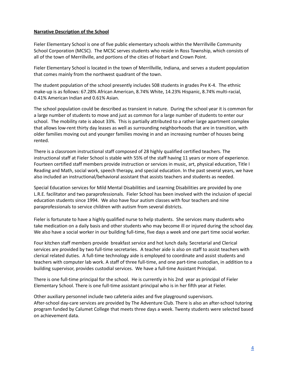#### <span id="page-4-0"></span>**Narrative Description of the School**

Fieler Elementary School is one of five public elementary schools within the Merrillville Community School Corporation (MCSC). The MCSC serves students who reside in Ross Township, which consists of all of the town of Merrillville, and portions of the cities of Hobart and Crown Point.

Fieler Elementary School is located in the town of Merrillville, Indiana, and serves a student population that comes mainly from the northwest quadrant of the town.

The student population of the school presently includes 508 students in grades Pre K-4. The ethnic make-up is as follows: 67.28% African American, 8.74% White, 14.23% Hispanic, 8.74% multi-racial, 0.41% American Indian and 0.61% Asian.

The school population could be described as transient in nature. During the school year it is common for a large number of students to move and just as common for a large number of students to enter our school. The mobility rate is about 33%. This is partially attributed to a rather large apartment complex that allows low-rent thirty day leases as well as surrounding neighborhoods that are in transition, with older families moving out and younger families moving in and an increasing number of houses being rented.

There is a classroom instructional staff composed of 28 highly qualified certified teachers. The instructional staff at Fieler School is stable with 55% of the staff having 11 years or more of experience. Fourteen certified staff members provide instruction or services in music, art, physical education, Title I Reading and Math, social work, speech therapy, and special education. In the past several years, we have also included an instructional/behavioral assistant that assists teachers and students as needed.

Special Education services for Mild Mental Disabilities and Learning Disabilities are provided by one L.R.E. facilitator and two paraprofessionals. Fieler School has been involved with the inclusion of special education students since 1994. We also have four autism classes with four teachers and nine paraprofessionals to service children with autism from several districts.

Fieler is fortunate to have a highly qualified nurse to help students. She services many students who take medication on a daily basis and other students who may become ill or injured during the school day. We also have a social worker in our building full-time, five days a week and one part time social worker.

Four kitchen staff members provide breakfast service and hot lunch daily. Secretarial and Clerical services are provided by two full-time secretaries. A teacher aide is also on staff to assist teachers with clerical related duties. A full-time technology aide is employed to coordinate and assist students and teachers with computer lab work. A staff of three full-time, and one part-time custodian, in addition to a building supervisor, provides custodial services. We have a full-time Assistant Principal.

There is one full-time principal for the school. He is currently in his 2nd year as principal of Fieler Elementary School. There is one full-time assistant principal who is in her fifth year at Fieler.

Other auxiliary personnel include two cafeteria aides and five playground supervisors. After-school day-care services are provided by The Adventure Club. There is also an after-school tutoring program funded by Calumet College that meets three days a week. Twenty students were selected based on achievement data.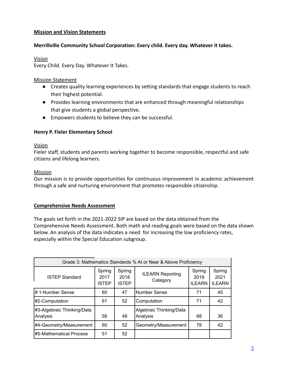## <span id="page-5-0"></span>**Mission and Vision Statements**

## **Merrillville Community School Corporation: Every child. Every day. Whatever it takes.**

## Vision

Every Child. Every Day. Whatever It Takes.

## Mission Statement

- Creates quality learning experiences by setting standards that engage students to reach their highest potential.
- Provides learning environments that are enhanced through meaningful relationships that give students a global perspective.
- Empowers students to believe they can be successful.

## **Henry P. Fieler Elementary School**

## Vision

Fieler staff, students and parents working together to become responsible, respectful and safe citizens and lifelong learners.

## Mission

Our mission is to provide opportunities for continuous improvement in academic achievement through a safe and nurturing environment that promotes responsible citizenship.

## <span id="page-5-1"></span>**Comprehensive Needs Assessment**

The goals set forth in the 2021-2022 SIP are based on the data obtained from the Comprehensive Needs Assessment. Both math and reading goals were based on the data shown below. An analysis of the data indicates a need for increasing the low proficiency rates, especially within the Special Education subgroup.

| Grade 3: Mathematics Standards % At or Near & Above Proficiency |                                |                                |                                     |                                 |                                 |  |
|-----------------------------------------------------------------|--------------------------------|--------------------------------|-------------------------------------|---------------------------------|---------------------------------|--|
| <b>ISTEP Standard</b>                                           | Spring<br>2017<br><b>ISTEP</b> | Spring<br>2018<br><b>ISTEP</b> | <b>ILEARN Reporting</b><br>Category | Spring<br>2019<br><b>ILEARN</b> | Spring<br>2021<br><b>ILEARN</b> |  |
| #1-Number Sense                                                 | 60                             | 47                             | Number Sense                        | 71                              | 45                              |  |
| #2-Computation                                                  | 61                             | 52                             | Computation                         | 71                              | 42                              |  |
| #3-Algebraic Thinking/Data<br>Analysis                          | 58                             | 48                             | Algebraic Thinking/Data<br>Analysis | 68                              | 36                              |  |
| #4-Geometry/Measurement                                         | 60                             | 52                             | Geometry/Measurement                | 78                              | 42                              |  |
| #5-Mathematical Process                                         | 51                             | 52                             |                                     |                                 |                                 |  |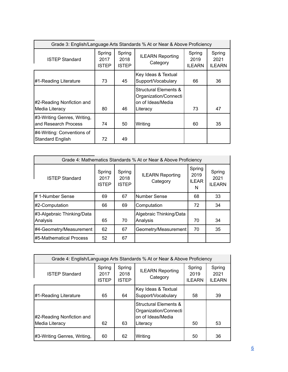| Grade 3: English/Language Arts Standards % At or Near & Above Proficiency |                          |                                |                                                                                 |                                 |                                 |  |
|---------------------------------------------------------------------------|--------------------------|--------------------------------|---------------------------------------------------------------------------------|---------------------------------|---------------------------------|--|
| <b>ISTEP Standard</b>                                                     | Spring<br>2017<br>ISTEP. | Spring<br>2018<br><b>ISTEP</b> | <b>ILEARN Reporting</b><br>Category                                             | Spring<br>2019<br><b>ILEARN</b> | Spring<br>2021<br><b>ILEARN</b> |  |
| #1-Reading Literature                                                     | 73                       | 45                             | Key Ideas & Textual<br>Support/Vocabulary                                       | 66                              | 36                              |  |
| #2-Reading Nonfiction and<br>Media Literacy                               | 80                       | 46                             | Structural Elements &<br>Organization/Connecti<br>on of Ideas/Media<br>Literacy | 73                              | 47                              |  |
| #3-Writing Genres, Writing,<br>land Research Process                      | 74                       | 50                             | Writing                                                                         | 60                              | 35                              |  |
| #4-Writing: Conventions of<br>Standard English                            | 72                       | 49                             |                                                                                 |                                 |                                 |  |

| Grade 4: Mathematics Standards % At or Near & Above Proficiency |                         |                                |                                     |                                     |                                 |  |
|-----------------------------------------------------------------|-------------------------|--------------------------------|-------------------------------------|-------------------------------------|---------------------------------|--|
| <b>ISTEP Standard</b>                                           | Spring<br>2017<br>ISTEP | Spring<br>2018<br><b>ISTEP</b> | <b>ILEARN Reporting</b><br>Category | Spring<br>2019<br><b>ILEAR</b><br>N | Spring<br>2021<br><b>ILEARN</b> |  |
| # 1-Number Sense                                                | 69                      | 67                             | Number Sense                        | 68                                  | 33                              |  |
| #2-Computation                                                  | 66                      | 69                             | Computation                         | 72                                  | 34                              |  |
| #3-Algebraic Thinking/Data<br>Analysis                          | 65                      | 70                             | Algebraic Thinking/Data<br>Analysis | 70                                  | 34                              |  |
| #4-Geometry/Measurement                                         | 62                      | 67                             | Geometry/Measurement                | 70                                  | 35                              |  |
| #5-Mathematical Process                                         | 52                      | 67                             |                                     |                                     |                                 |  |

| Grade 4: English/Language Arts Standards % At or Near & Above Proficiency |                                |                                |                                                                                            |                                 |                                 |  |
|---------------------------------------------------------------------------|--------------------------------|--------------------------------|--------------------------------------------------------------------------------------------|---------------------------------|---------------------------------|--|
| <b>ISTEP Standard</b>                                                     | Spring<br>2017<br><b>ISTEP</b> | Spring<br>2018<br><b>ISTEP</b> | <b>ILEARN Reporting</b><br>Category                                                        | Spring<br>2019<br><b>ILEARN</b> | Spring<br>2021<br><b>ILEARN</b> |  |
| #1-Reading Literature                                                     | 65                             | 64                             | Key Ideas & Textual<br>Support/Vocabulary                                                  | 58                              | 39                              |  |
| #2-Reading Nonfiction and<br>Media Literacy                               | 62                             | 63                             | <b>Structural Elements &amp;</b><br>Organization/Connecti<br>on of Ideas/Media<br>Literacy | 50                              | 53                              |  |
| #3-Writing Genres, Writing,                                               | 60                             | 62                             | Writing                                                                                    | 50                              | 36                              |  |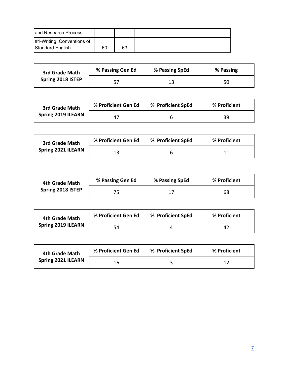| and Research Process       |    |    |  |  |
|----------------------------|----|----|--|--|
| #4-Writing: Conventions of |    |    |  |  |
| Standard English           | 60 | 63 |  |  |

| 3rd Grade Math    | % Passing Gen Ed | % Passing SpEd | % Passing |
|-------------------|------------------|----------------|-----------|
| Spring 2018 ISTEP |                  |                | 50        |

| 3rd Grade Math            | % Proficient Gen Ed | % Proficient SpEd | % Proficient |
|---------------------------|---------------------|-------------------|--------------|
| <b>Spring 2019 ILEARN</b> |                     |                   | 39           |

| 3rd Grade Math     | % Proficient Gen Ed | % Proficient SpEd | % Proficient |
|--------------------|---------------------|-------------------|--------------|
| Spring 2021 ILEARN | 13                  |                   |              |

| 4th Grade Math    | % Passing Gen Ed | % Passing SpEd | % Proficient |
|-------------------|------------------|----------------|--------------|
| Spring 2018 ISTEP |                  |                | 68           |

| 4th Grade Math            | % Proficient Gen Ed | % Proficient SpEd | % Proficient |
|---------------------------|---------------------|-------------------|--------------|
| <b>Spring 2019 ILEARN</b> | 54                  |                   | 42           |

| 4th Grade Math     | % Proficient Gen Ed | % Proficient SpEd | % Proficient |
|--------------------|---------------------|-------------------|--------------|
| Spring 2021 ILEARN | 16                  |                   |              |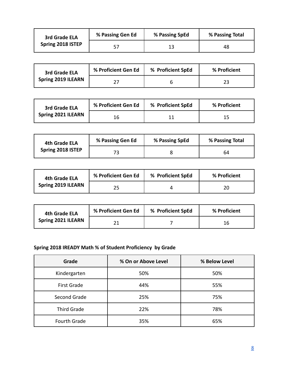| 3rd Grade ELA     | % Passing Gen Ed | % Passing SpEd | % Passing Total |
|-------------------|------------------|----------------|-----------------|
| Spring 2018 ISTEP |                  |                | 48              |

| 3rd Grade ELA             | % Proficient Gen Ed | % Proficient SpEd | % Proficient |
|---------------------------|---------------------|-------------------|--------------|
| <b>Spring 2019 ILEARN</b> |                     |                   |              |

| 3rd Grade ELA             | % Proficient Gen Ed | % Proficient SpEd | % Proficient |
|---------------------------|---------------------|-------------------|--------------|
| <b>Spring 2021 ILEARN</b> |                     |                   | כד           |

| 4th Grade ELA     | % Passing Gen Ed | % Passing SpEd | % Passing Total |
|-------------------|------------------|----------------|-----------------|
| Spring 2018 ISTEP |                  |                | 64              |

| 4th Grade ELA             | % Proficient Gen Ed | % Proficient SpEd | % Proficient |
|---------------------------|---------------------|-------------------|--------------|
| <b>Spring 2019 ILEARN</b> |                     |                   | 20           |

| 4th Grade ELA      | % Proficient Gen Ed | % Proficient SpEd | % Proficient |
|--------------------|---------------------|-------------------|--------------|
| Spring 2021 ILEARN |                     |                   | 16           |

## **Spring 2018 IREADY Math % of Student Proficiency by Grade**

| Grade               | % On or Above Level | % Below Level |
|---------------------|---------------------|---------------|
| Kindergarten        | 50%                 | 50%           |
| <b>First Grade</b>  | 44%                 | 55%           |
| Second Grade        | 25%                 | 75%           |
| <b>Third Grade</b>  | 22%                 | 78%           |
| <b>Fourth Grade</b> | 35%                 | 65%           |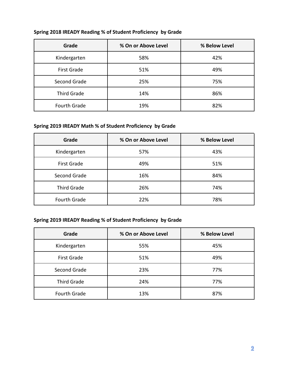| Grade               | % On or Above Level | % Below Level |
|---------------------|---------------------|---------------|
| Kindergarten        | 58%                 | 42%           |
| <b>First Grade</b>  | 51%                 | 49%           |
| Second Grade        | 25%                 | 75%           |
| Third Grade         | 14%                 | 86%           |
| <b>Fourth Grade</b> | 19%                 | 82%           |

## **Spring 2018 IREADY Reading % of Student Proficiency by Grade**

## **Spring 2019 IREADY Math % of Student Proficiency by Grade**

| Grade               | % On or Above Level | % Below Level |
|---------------------|---------------------|---------------|
| Kindergarten        | 57%                 | 43%           |
| <b>First Grade</b>  | 49%                 | 51%           |
| Second Grade        | 16%                 | 84%           |
| <b>Third Grade</b>  | 26%                 | 74%           |
| <b>Fourth Grade</b> | 22%                 | 78%           |

## **Spring 2019 IREADY Reading % of Student Proficiency by Grade**

| Grade               | % On or Above Level | % Below Level |
|---------------------|---------------------|---------------|
| Kindergarten        | 55%                 | 45%           |
| <b>First Grade</b>  | 51%                 | 49%           |
| Second Grade        | 23%                 | 77%           |
| <b>Third Grade</b>  | 24%                 | 77%           |
| <b>Fourth Grade</b> | 13%                 | 87%           |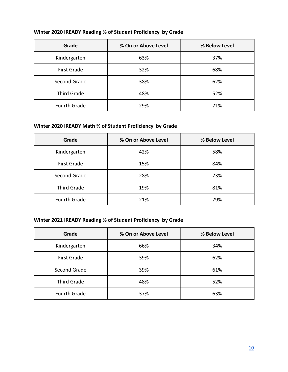| Grade               | % On or Above Level | % Below Level |
|---------------------|---------------------|---------------|
| Kindergarten        | 63%                 | 37%           |
| <b>First Grade</b>  | 32%                 | 68%           |
| Second Grade        | 38%                 | 62%           |
| Third Grade         | 48%                 | 52%           |
| <b>Fourth Grade</b> | 29%                 | 71%           |

## **Winter 2020 IREADY Reading % of Student Proficiency by Grade**

## **Winter 2020 IREADY Math % of Student Proficiency by Grade**

| Grade               | % On or Above Level | % Below Level |
|---------------------|---------------------|---------------|
| Kindergarten        | 42%                 | 58%           |
| <b>First Grade</b>  | 15%                 | 84%           |
| Second Grade        | 28%                 | 73%           |
| <b>Third Grade</b>  | 19%                 | 81%           |
| <b>Fourth Grade</b> | 21%                 | 79%           |

## **Winter 2021 IREADY Reading % of Student Proficiency by Grade**

| Grade               | % On or Above Level | % Below Level |
|---------------------|---------------------|---------------|
| Kindergarten        | 66%                 | 34%           |
| <b>First Grade</b>  | 39%                 | 62%           |
| Second Grade        | 39%                 | 61%           |
| <b>Third Grade</b>  | 48%                 | 52%           |
| <b>Fourth Grade</b> | 37%                 | 63%           |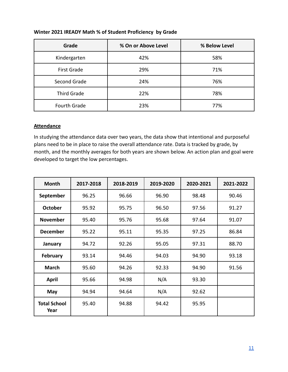| Grade               | % On or Above Level | % Below Level |
|---------------------|---------------------|---------------|
| Kindergarten        | 42%                 | 58%           |
| <b>First Grade</b>  | 29%                 | 71%           |
| Second Grade        | 24%                 | 76%           |
| Third Grade         | 22%                 | 78%           |
| <b>Fourth Grade</b> | 23%                 | 77%           |

## **Winter 2021 IREADY Math % of Student Proficiency by Grade**

#### **Attendance**

In studying the attendance data over two years, the data show that intentional and purposeful plans need to be in place to raise the overall attendance rate. Data is tracked by grade, by month, and the monthly averages for both years are shown below. An action plan and goal were developed to target the low percentages.

| <b>Month</b>                | 2017-2018 | 2018-2019 | 2019-2020 | 2020-2021 | 2021-2022 |
|-----------------------------|-----------|-----------|-----------|-----------|-----------|
| September                   | 96.25     | 96.66     | 96.90     | 98.48     | 90.46     |
| <b>October</b>              | 95.92     | 95.75     | 96.50     | 97.56     | 91.27     |
| <b>November</b>             | 95.40     | 95.76     | 95.68     | 97.64     | 91.07     |
| <b>December</b>             | 95.22     | 95.11     | 95.35     | 97.25     | 86.84     |
| January                     | 94.72     | 92.26     | 95.05     | 97.31     | 88.70     |
| <b>February</b>             | 93.14     | 94.46     | 94.03     | 94.90     | 93.18     |
| <b>March</b>                | 95.60     | 94.26     | 92.33     | 94.90     | 91.56     |
| <b>April</b>                | 95.66     | 94.98     | N/A       | 93.30     |           |
| May                         | 94.94     | 94.64     | N/A       | 92.62     |           |
| <b>Total School</b><br>Year | 95.40     | 94.88     | 94.42     | 95.95     |           |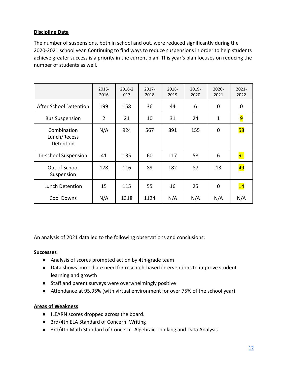## **Discipline Data**

The number of suspensions, both in school and out, were reduced significantly during the 2020-2021 school year. Continuing to find ways to reduce suspensions in order to help students achieve greater success is a priority in the current plan. This year's plan focuses on reducing the number of students as well.

|                                          | $2015 -$<br>2016 | 2016-2<br>017 | 2017-<br>2018 | 2018-<br>2019 | 2019-<br>2020 | $2020 -$<br>2021 | $2021 -$<br>2022 |
|------------------------------------------|------------------|---------------|---------------|---------------|---------------|------------------|------------------|
| After School Detention                   | 199              | 158           | 36            | 44            | 6             | 0                | $\mathbf 0$      |
| <b>Bus Suspension</b>                    | 2                | 21            | 10            | 31            | 24            | $\mathbf{1}$     | $\overline{9}$   |
| Combination<br>Lunch/Recess<br>Detention | N/A              | 924           | 567           | 891           | 155           | $\mathbf 0$      | 58               |
| In-school Suspension                     | 41               | 135           | 60            | 117           | 58            | 6                | 91               |
| Out of School<br>Suspension              | 178              | 116           | 89            | 182           | 87            | 13               | 49               |
| Lunch Detention                          | 15               | 115           | 55            | 16            | 25            | $\mathbf 0$      | 14               |
| <b>Cool Downs</b>                        | N/A              | 1318          | 1124          | N/A           | N/A           | N/A              | N/A              |

An analysis of 2021 data led to the following observations and conclusions:

#### **Successes**

- Analysis of scores prompted action by 4th-grade team
- Data shows immediate need for research-based interventions to improve student learning and growth
- Staff and parent surveys were overwhelmingly positive
- Attendance at 95.95% (with virtual environment for over 75% of the school year)

## **Areas of Weakness**

- ILEARN scores dropped across the board.
- 3rd/4th ELA Standard of Concern: Writing
- 3rd/4th Math Standard of Concern: Algebraic Thinking and Data Analysis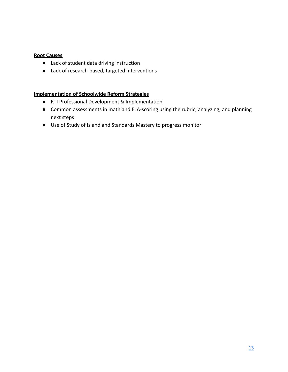#### **Root Causes**

- Lack of student data driving instruction
- Lack of research-based, targeted interventions

#### <span id="page-13-0"></span>**Implementation of Schoolwide Reform Strategies**

- RTI Professional Development & Implementation
- Common assessments in math and ELA-scoring using the rubric, analyzing, and planning next steps
- Use of Study of Island and Standards Mastery to progress monitor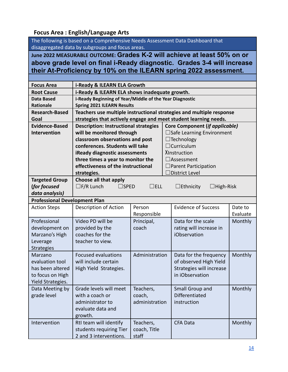## <span id="page-14-0"></span>**Focus Area : English/Language Arts**

The following is based on a Comprehensive Needs Assessment Data Dashboard that disaggregated data by subgroups and focus areas.

**June 2022 MEASURABLE OUTCOME: Grades K-2 will achieve at least 50% on or above grade level on final i-Ready diagnostic. Grades 3-4 will increase their At-Proficiency by 10% on the ILEARN spring 2022 assessment.**

| <b>Focus Area</b>                    | i-Ready & ILEARN ELA Growth                                                                    |                |  |                                                                      |          |
|--------------------------------------|------------------------------------------------------------------------------------------------|----------------|--|----------------------------------------------------------------------|----------|
| <b>Root Cause</b>                    | i-Ready & ILEARN ELA shows inadequate growth.                                                  |                |  |                                                                      |          |
| <b>Data Based</b>                    | i-Ready Beginning of Year/Middle of the Year Diagnostic                                        |                |  |                                                                      |          |
| <b>Rationale</b>                     | <b>Spring 2021 ILEARN Results</b>                                                              |                |  |                                                                      |          |
| <b>Research-Based</b>                |                                                                                                |                |  | Teachers use multiple instructional strategies and multiple response |          |
| Goal                                 |                                                                                                |                |  | strategies that actively engage and meet student learning needs.     |          |
| <b>Evidence-Based</b>                | <b>Description: Instructional strategies</b>                                                   |                |  | Core Component (if applicable)                                       |          |
| Intervention                         | will be monitored through                                                                      |                |  | □Safe Learning Environment                                           |          |
|                                      | classroom observations and post                                                                |                |  | $\Box$ Technology                                                    |          |
|                                      | conferences. Students will take                                                                |                |  | $\Box$ Curriculum                                                    |          |
|                                      | iReady diagnostic assessments                                                                  |                |  | XInstruction                                                         |          |
|                                      | three times a year to monitor the                                                              |                |  | $\Box$ Assessment                                                    |          |
|                                      | effectiveness of the instructional                                                             |                |  | $\Box$ Parent Participation                                          |          |
|                                      | strategies.                                                                                    |                |  | <b>District Level</b>                                                |          |
| <b>Targeted Group</b>                | Choose all that apply                                                                          |                |  |                                                                      |          |
| (for focused                         | $\square$ F/R Lunch<br>$\square$ SPED<br>$\Box$ ELL<br>$\Box$ Ethnicity<br>$\exists$ High-Risk |                |  |                                                                      |          |
| data analysis)                       |                                                                                                |                |  |                                                                      |          |
| <b>Professional Development Plan</b> |                                                                                                |                |  |                                                                      |          |
| <b>Action Steps</b>                  | Description of Action                                                                          | Person         |  | <b>Evidence of Success</b>                                           | Date to  |
|                                      |                                                                                                | Responsible    |  |                                                                      | Evaluate |
| Professional                         | Video PD will be                                                                               | Principal,     |  | Data for the scale                                                   | Monthly  |
| development on                       | provided by the                                                                                | coach          |  | rating will increase in                                              |          |
| Marzano's High                       | coaches for the                                                                                |                |  | iObservation                                                         |          |
| Leverage                             | teacher to view.                                                                               |                |  |                                                                      |          |
| <b>Strategies</b>                    |                                                                                                |                |  |                                                                      |          |
| Marzano                              | <b>Focused evaluations</b>                                                                     | Administration |  | Data for the frequency                                               | Monthly  |
| evaluation tool                      | will include certain                                                                           |                |  | of observed High Yield                                               |          |
| has been altered                     | High Yield Strategies.                                                                         |                |  | Strategies will increase                                             |          |
| to focus on High                     |                                                                                                |                |  | in iObservation                                                      |          |
| Yield Strategies.                    |                                                                                                |                |  |                                                                      |          |
| Data Meeting by $\vert$              | Grade levels will meet                                                                         | Teachers,      |  | Small Group and                                                      | Monthly  |
| grade level                          | with a coach or                                                                                | coach,         |  | Differentiated                                                       |          |
|                                      | administrator to                                                                               | administration |  | instruction                                                          |          |
|                                      | evaluate data and                                                                              |                |  |                                                                      |          |
|                                      | growth.                                                                                        |                |  |                                                                      |          |
| Intervention                         | RtI team will identify                                                                         | Teachers,      |  | <b>CFA Data</b>                                                      | Monthly  |
|                                      | students requiring Tier                                                                        | coach, Title   |  |                                                                      |          |
|                                      | 2 and 3 interventions.                                                                         | staff          |  |                                                                      |          |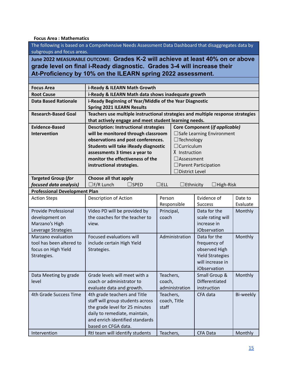#### <span id="page-15-0"></span>**Focus Area : Mathematics**

The following is based on a Comprehensive Needs Assessment Data Dashboard that disaggregates data by subgroups and focus areas.

**June 2022 MEASURABLE OUTCOME: Grades K-2 will achieve at least 40% on or above grade level on final i-Ready diagnostic. Grades 3-4 will increase their At-Proficiency by 10% on the ILEARN spring 2022 assessment.**

| <b>Focus Area</b><br>i-Ready & ILEARN Math Growth<br>i-Ready & ILEARN Math data shows inadequate growth<br><b>Root Cause</b><br><b>Data Based Rationale</b><br>i-Ready Beginning of Year/Middle of the Year Diagnostic<br><b>Spring 2021 ILEARN Results</b><br>Teachers use multiple instructional strategies and multiple response strategies<br><b>Research-Based Goal</b><br>that actively engage and meet student learning needs.<br><b>Evidence-Based</b><br><b>Description: Instructional strategies</b><br>Core Component (if applicable)<br>will be monitored through classroom<br><b>Intervention</b><br>$\Box$ Safe Learning Environment<br>observations and post conferences.<br>$\Box$ Technology<br>$\Box$ Curriculum<br>Students will take iReady diagnostic<br>X Instruction<br>assessments 3 times a year to<br>monitor the effectiveness of the<br>$\Box$ Assessment<br>instructional strategies.<br>$\Box$ Parent Participation<br>$\Box$ District Level<br><b>Targeted Group (for</b><br>Choose all that apply<br>focused data analysis)<br>$\square$ F/R Lunch<br>$\square$ sped<br>$\Box$ ELL<br>$\Box$ Ethnicity<br>$\exists$ High-Risk<br><b>Professional Development Plan</b><br>Person<br>Evidence of<br><b>Action Steps</b><br>Description of Action<br>Date to<br>Responsible<br><b>Success</b><br>Evaluate<br>Data for the<br>Provide Professional<br>Video PD will be provided by<br>Principal,<br>Monthly<br>the coaches for the teacher to<br>development on<br>coach<br>scale rating will<br>Marzano's High<br>increase in<br>view.<br><i>iObservation</i><br>Leverage Strategies<br>Marzano evaluation<br>Administration<br>Focused evaluations will<br>Data for the<br>Monthly<br>tool has been altered to<br>include certain High Yield<br>frequency of<br>observed High<br>focus on High Yield<br>Strategies.<br><b>Yield Strategies</b><br>Strategies.<br>will increase in<br>iObservation<br>Grade levels will meet with a<br>Small Group &<br>Monthly<br>Data Meeting by grade<br>Teachers,<br><b>Differentiated</b><br>coach or administrator to<br>level<br>coach,<br>evaluate data and growth.<br>administration<br>instruction<br>4th Grade Success Time<br>4th grade teachers and Title<br>Teachers,<br>CFA data<br>Bi-weekly<br>staff will group students across<br>coach, Title<br>the grade level for 25 minutes<br>staff<br>daily to remediate, maintain,<br>and enrich identified standards |                     |  |  |  |  |
|----------------------------------------------------------------------------------------------------------------------------------------------------------------------------------------------------------------------------------------------------------------------------------------------------------------------------------------------------------------------------------------------------------------------------------------------------------------------------------------------------------------------------------------------------------------------------------------------------------------------------------------------------------------------------------------------------------------------------------------------------------------------------------------------------------------------------------------------------------------------------------------------------------------------------------------------------------------------------------------------------------------------------------------------------------------------------------------------------------------------------------------------------------------------------------------------------------------------------------------------------------------------------------------------------------------------------------------------------------------------------------------------------------------------------------------------------------------------------------------------------------------------------------------------------------------------------------------------------------------------------------------------------------------------------------------------------------------------------------------------------------------------------------------------------------------------------------------------------------------------------------------------------------------------------------------------------------------------------------------------------------------------------------------------------------------------------------------------------------------------------------------------------------------------------------------------------------------------------------------------------------------------------------------------------------------------------------------------------------------------------------------------------------------------------------------------|---------------------|--|--|--|--|
|                                                                                                                                                                                                                                                                                                                                                                                                                                                                                                                                                                                                                                                                                                                                                                                                                                                                                                                                                                                                                                                                                                                                                                                                                                                                                                                                                                                                                                                                                                                                                                                                                                                                                                                                                                                                                                                                                                                                                                                                                                                                                                                                                                                                                                                                                                                                                                                                                                              |                     |  |  |  |  |
|                                                                                                                                                                                                                                                                                                                                                                                                                                                                                                                                                                                                                                                                                                                                                                                                                                                                                                                                                                                                                                                                                                                                                                                                                                                                                                                                                                                                                                                                                                                                                                                                                                                                                                                                                                                                                                                                                                                                                                                                                                                                                                                                                                                                                                                                                                                                                                                                                                              |                     |  |  |  |  |
|                                                                                                                                                                                                                                                                                                                                                                                                                                                                                                                                                                                                                                                                                                                                                                                                                                                                                                                                                                                                                                                                                                                                                                                                                                                                                                                                                                                                                                                                                                                                                                                                                                                                                                                                                                                                                                                                                                                                                                                                                                                                                                                                                                                                                                                                                                                                                                                                                                              |                     |  |  |  |  |
|                                                                                                                                                                                                                                                                                                                                                                                                                                                                                                                                                                                                                                                                                                                                                                                                                                                                                                                                                                                                                                                                                                                                                                                                                                                                                                                                                                                                                                                                                                                                                                                                                                                                                                                                                                                                                                                                                                                                                                                                                                                                                                                                                                                                                                                                                                                                                                                                                                              |                     |  |  |  |  |
|                                                                                                                                                                                                                                                                                                                                                                                                                                                                                                                                                                                                                                                                                                                                                                                                                                                                                                                                                                                                                                                                                                                                                                                                                                                                                                                                                                                                                                                                                                                                                                                                                                                                                                                                                                                                                                                                                                                                                                                                                                                                                                                                                                                                                                                                                                                                                                                                                                              |                     |  |  |  |  |
|                                                                                                                                                                                                                                                                                                                                                                                                                                                                                                                                                                                                                                                                                                                                                                                                                                                                                                                                                                                                                                                                                                                                                                                                                                                                                                                                                                                                                                                                                                                                                                                                                                                                                                                                                                                                                                                                                                                                                                                                                                                                                                                                                                                                                                                                                                                                                                                                                                              |                     |  |  |  |  |
|                                                                                                                                                                                                                                                                                                                                                                                                                                                                                                                                                                                                                                                                                                                                                                                                                                                                                                                                                                                                                                                                                                                                                                                                                                                                                                                                                                                                                                                                                                                                                                                                                                                                                                                                                                                                                                                                                                                                                                                                                                                                                                                                                                                                                                                                                                                                                                                                                                              |                     |  |  |  |  |
|                                                                                                                                                                                                                                                                                                                                                                                                                                                                                                                                                                                                                                                                                                                                                                                                                                                                                                                                                                                                                                                                                                                                                                                                                                                                                                                                                                                                                                                                                                                                                                                                                                                                                                                                                                                                                                                                                                                                                                                                                                                                                                                                                                                                                                                                                                                                                                                                                                              |                     |  |  |  |  |
|                                                                                                                                                                                                                                                                                                                                                                                                                                                                                                                                                                                                                                                                                                                                                                                                                                                                                                                                                                                                                                                                                                                                                                                                                                                                                                                                                                                                                                                                                                                                                                                                                                                                                                                                                                                                                                                                                                                                                                                                                                                                                                                                                                                                                                                                                                                                                                                                                                              |                     |  |  |  |  |
|                                                                                                                                                                                                                                                                                                                                                                                                                                                                                                                                                                                                                                                                                                                                                                                                                                                                                                                                                                                                                                                                                                                                                                                                                                                                                                                                                                                                                                                                                                                                                                                                                                                                                                                                                                                                                                                                                                                                                                                                                                                                                                                                                                                                                                                                                                                                                                                                                                              |                     |  |  |  |  |
|                                                                                                                                                                                                                                                                                                                                                                                                                                                                                                                                                                                                                                                                                                                                                                                                                                                                                                                                                                                                                                                                                                                                                                                                                                                                                                                                                                                                                                                                                                                                                                                                                                                                                                                                                                                                                                                                                                                                                                                                                                                                                                                                                                                                                                                                                                                                                                                                                                              |                     |  |  |  |  |
|                                                                                                                                                                                                                                                                                                                                                                                                                                                                                                                                                                                                                                                                                                                                                                                                                                                                                                                                                                                                                                                                                                                                                                                                                                                                                                                                                                                                                                                                                                                                                                                                                                                                                                                                                                                                                                                                                                                                                                                                                                                                                                                                                                                                                                                                                                                                                                                                                                              |                     |  |  |  |  |
|                                                                                                                                                                                                                                                                                                                                                                                                                                                                                                                                                                                                                                                                                                                                                                                                                                                                                                                                                                                                                                                                                                                                                                                                                                                                                                                                                                                                                                                                                                                                                                                                                                                                                                                                                                                                                                                                                                                                                                                                                                                                                                                                                                                                                                                                                                                                                                                                                                              |                     |  |  |  |  |
|                                                                                                                                                                                                                                                                                                                                                                                                                                                                                                                                                                                                                                                                                                                                                                                                                                                                                                                                                                                                                                                                                                                                                                                                                                                                                                                                                                                                                                                                                                                                                                                                                                                                                                                                                                                                                                                                                                                                                                                                                                                                                                                                                                                                                                                                                                                                                                                                                                              |                     |  |  |  |  |
|                                                                                                                                                                                                                                                                                                                                                                                                                                                                                                                                                                                                                                                                                                                                                                                                                                                                                                                                                                                                                                                                                                                                                                                                                                                                                                                                                                                                                                                                                                                                                                                                                                                                                                                                                                                                                                                                                                                                                                                                                                                                                                                                                                                                                                                                                                                                                                                                                                              |                     |  |  |  |  |
|                                                                                                                                                                                                                                                                                                                                                                                                                                                                                                                                                                                                                                                                                                                                                                                                                                                                                                                                                                                                                                                                                                                                                                                                                                                                                                                                                                                                                                                                                                                                                                                                                                                                                                                                                                                                                                                                                                                                                                                                                                                                                                                                                                                                                                                                                                                                                                                                                                              |                     |  |  |  |  |
|                                                                                                                                                                                                                                                                                                                                                                                                                                                                                                                                                                                                                                                                                                                                                                                                                                                                                                                                                                                                                                                                                                                                                                                                                                                                                                                                                                                                                                                                                                                                                                                                                                                                                                                                                                                                                                                                                                                                                                                                                                                                                                                                                                                                                                                                                                                                                                                                                                              |                     |  |  |  |  |
|                                                                                                                                                                                                                                                                                                                                                                                                                                                                                                                                                                                                                                                                                                                                                                                                                                                                                                                                                                                                                                                                                                                                                                                                                                                                                                                                                                                                                                                                                                                                                                                                                                                                                                                                                                                                                                                                                                                                                                                                                                                                                                                                                                                                                                                                                                                                                                                                                                              |                     |  |  |  |  |
|                                                                                                                                                                                                                                                                                                                                                                                                                                                                                                                                                                                                                                                                                                                                                                                                                                                                                                                                                                                                                                                                                                                                                                                                                                                                                                                                                                                                                                                                                                                                                                                                                                                                                                                                                                                                                                                                                                                                                                                                                                                                                                                                                                                                                                                                                                                                                                                                                                              |                     |  |  |  |  |
|                                                                                                                                                                                                                                                                                                                                                                                                                                                                                                                                                                                                                                                                                                                                                                                                                                                                                                                                                                                                                                                                                                                                                                                                                                                                                                                                                                                                                                                                                                                                                                                                                                                                                                                                                                                                                                                                                                                                                                                                                                                                                                                                                                                                                                                                                                                                                                                                                                              |                     |  |  |  |  |
|                                                                                                                                                                                                                                                                                                                                                                                                                                                                                                                                                                                                                                                                                                                                                                                                                                                                                                                                                                                                                                                                                                                                                                                                                                                                                                                                                                                                                                                                                                                                                                                                                                                                                                                                                                                                                                                                                                                                                                                                                                                                                                                                                                                                                                                                                                                                                                                                                                              |                     |  |  |  |  |
|                                                                                                                                                                                                                                                                                                                                                                                                                                                                                                                                                                                                                                                                                                                                                                                                                                                                                                                                                                                                                                                                                                                                                                                                                                                                                                                                                                                                                                                                                                                                                                                                                                                                                                                                                                                                                                                                                                                                                                                                                                                                                                                                                                                                                                                                                                                                                                                                                                              |                     |  |  |  |  |
|                                                                                                                                                                                                                                                                                                                                                                                                                                                                                                                                                                                                                                                                                                                                                                                                                                                                                                                                                                                                                                                                                                                                                                                                                                                                                                                                                                                                                                                                                                                                                                                                                                                                                                                                                                                                                                                                                                                                                                                                                                                                                                                                                                                                                                                                                                                                                                                                                                              |                     |  |  |  |  |
|                                                                                                                                                                                                                                                                                                                                                                                                                                                                                                                                                                                                                                                                                                                                                                                                                                                                                                                                                                                                                                                                                                                                                                                                                                                                                                                                                                                                                                                                                                                                                                                                                                                                                                                                                                                                                                                                                                                                                                                                                                                                                                                                                                                                                                                                                                                                                                                                                                              |                     |  |  |  |  |
|                                                                                                                                                                                                                                                                                                                                                                                                                                                                                                                                                                                                                                                                                                                                                                                                                                                                                                                                                                                                                                                                                                                                                                                                                                                                                                                                                                                                                                                                                                                                                                                                                                                                                                                                                                                                                                                                                                                                                                                                                                                                                                                                                                                                                                                                                                                                                                                                                                              |                     |  |  |  |  |
|                                                                                                                                                                                                                                                                                                                                                                                                                                                                                                                                                                                                                                                                                                                                                                                                                                                                                                                                                                                                                                                                                                                                                                                                                                                                                                                                                                                                                                                                                                                                                                                                                                                                                                                                                                                                                                                                                                                                                                                                                                                                                                                                                                                                                                                                                                                                                                                                                                              |                     |  |  |  |  |
|                                                                                                                                                                                                                                                                                                                                                                                                                                                                                                                                                                                                                                                                                                                                                                                                                                                                                                                                                                                                                                                                                                                                                                                                                                                                                                                                                                                                                                                                                                                                                                                                                                                                                                                                                                                                                                                                                                                                                                                                                                                                                                                                                                                                                                                                                                                                                                                                                                              |                     |  |  |  |  |
|                                                                                                                                                                                                                                                                                                                                                                                                                                                                                                                                                                                                                                                                                                                                                                                                                                                                                                                                                                                                                                                                                                                                                                                                                                                                                                                                                                                                                                                                                                                                                                                                                                                                                                                                                                                                                                                                                                                                                                                                                                                                                                                                                                                                                                                                                                                                                                                                                                              |                     |  |  |  |  |
|                                                                                                                                                                                                                                                                                                                                                                                                                                                                                                                                                                                                                                                                                                                                                                                                                                                                                                                                                                                                                                                                                                                                                                                                                                                                                                                                                                                                                                                                                                                                                                                                                                                                                                                                                                                                                                                                                                                                                                                                                                                                                                                                                                                                                                                                                                                                                                                                                                              |                     |  |  |  |  |
|                                                                                                                                                                                                                                                                                                                                                                                                                                                                                                                                                                                                                                                                                                                                                                                                                                                                                                                                                                                                                                                                                                                                                                                                                                                                                                                                                                                                                                                                                                                                                                                                                                                                                                                                                                                                                                                                                                                                                                                                                                                                                                                                                                                                                                                                                                                                                                                                                                              |                     |  |  |  |  |
|                                                                                                                                                                                                                                                                                                                                                                                                                                                                                                                                                                                                                                                                                                                                                                                                                                                                                                                                                                                                                                                                                                                                                                                                                                                                                                                                                                                                                                                                                                                                                                                                                                                                                                                                                                                                                                                                                                                                                                                                                                                                                                                                                                                                                                                                                                                                                                                                                                              |                     |  |  |  |  |
|                                                                                                                                                                                                                                                                                                                                                                                                                                                                                                                                                                                                                                                                                                                                                                                                                                                                                                                                                                                                                                                                                                                                                                                                                                                                                                                                                                                                                                                                                                                                                                                                                                                                                                                                                                                                                                                                                                                                                                                                                                                                                                                                                                                                                                                                                                                                                                                                                                              |                     |  |  |  |  |
|                                                                                                                                                                                                                                                                                                                                                                                                                                                                                                                                                                                                                                                                                                                                                                                                                                                                                                                                                                                                                                                                                                                                                                                                                                                                                                                                                                                                                                                                                                                                                                                                                                                                                                                                                                                                                                                                                                                                                                                                                                                                                                                                                                                                                                                                                                                                                                                                                                              |                     |  |  |  |  |
|                                                                                                                                                                                                                                                                                                                                                                                                                                                                                                                                                                                                                                                                                                                                                                                                                                                                                                                                                                                                                                                                                                                                                                                                                                                                                                                                                                                                                                                                                                                                                                                                                                                                                                                                                                                                                                                                                                                                                                                                                                                                                                                                                                                                                                                                                                                                                                                                                                              |                     |  |  |  |  |
|                                                                                                                                                                                                                                                                                                                                                                                                                                                                                                                                                                                                                                                                                                                                                                                                                                                                                                                                                                                                                                                                                                                                                                                                                                                                                                                                                                                                                                                                                                                                                                                                                                                                                                                                                                                                                                                                                                                                                                                                                                                                                                                                                                                                                                                                                                                                                                                                                                              |                     |  |  |  |  |
|                                                                                                                                                                                                                                                                                                                                                                                                                                                                                                                                                                                                                                                                                                                                                                                                                                                                                                                                                                                                                                                                                                                                                                                                                                                                                                                                                                                                                                                                                                                                                                                                                                                                                                                                                                                                                                                                                                                                                                                                                                                                                                                                                                                                                                                                                                                                                                                                                                              |                     |  |  |  |  |
|                                                                                                                                                                                                                                                                                                                                                                                                                                                                                                                                                                                                                                                                                                                                                                                                                                                                                                                                                                                                                                                                                                                                                                                                                                                                                                                                                                                                                                                                                                                                                                                                                                                                                                                                                                                                                                                                                                                                                                                                                                                                                                                                                                                                                                                                                                                                                                                                                                              | based on CFGA data. |  |  |  |  |
| Intervention<br>RtI team will identify students<br><b>CFA Data</b><br>Monthly<br>Teachers,                                                                                                                                                                                                                                                                                                                                                                                                                                                                                                                                                                                                                                                                                                                                                                                                                                                                                                                                                                                                                                                                                                                                                                                                                                                                                                                                                                                                                                                                                                                                                                                                                                                                                                                                                                                                                                                                                                                                                                                                                                                                                                                                                                                                                                                                                                                                                   |                     |  |  |  |  |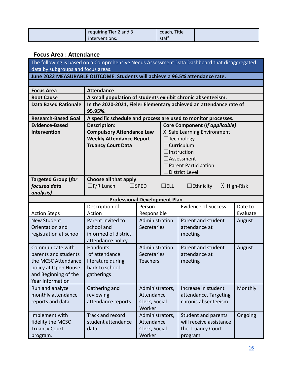| requiring Tier 2 and 3 | coach, Title |  |
|------------------------|--------------|--|
| interventions.         | staff        |  |

## <span id="page-16-0"></span>**Focus Area : Attendance**

The following is based on a Comprehensive Needs Assessment Data Dashboard that disaggregated data by subgroups and focus areas.

**June 2022 MEASURABLE OUTCOME: Students will achieve a 96.5% attendance rate.**

| <b>Focus Area</b>           | <b>Attendance</b>                    |                                                             |            |                                                                    |             |
|-----------------------------|--------------------------------------|-------------------------------------------------------------|------------|--------------------------------------------------------------------|-------------|
| <b>Root Cause</b>           |                                      | A small population of students exhibit chronic absenteeism. |            |                                                                    |             |
| <b>Data Based Rationale</b> |                                      |                                                             |            | In the 2020-2021, Fieler Elementary achieved an attendance rate of |             |
|                             | 95.95%.                              |                                                             |            |                                                                    |             |
| <b>Research-Based Goal</b>  |                                      |                                                             |            | A specific schedule and process are used to monitor processes.     |             |
| <b>Evidence-Based</b>       | <b>Description:</b>                  |                                                             |            | Core Component (if applicable)                                     |             |
| <b>Intervention</b>         | <b>Compulsory Attendance Law</b>     |                                                             |            | X Safe Learning Environment                                        |             |
|                             | <b>Weekly Attendance Report</b>      |                                                             |            | $\Box$ Technology                                                  |             |
|                             | <b>Truancy Court Data</b>            |                                                             |            | $\Box$ Curriculum                                                  |             |
|                             |                                      |                                                             |            | $\Box$ Instruction                                                 |             |
|                             |                                      |                                                             |            | $\Box$ Assessment                                                  |             |
|                             |                                      |                                                             |            | $\Box$ Parent Participation                                        |             |
|                             |                                      | District Level                                              |            |                                                                    |             |
| <b>Targeted Group (for</b>  | Choose all that apply                |                                                             |            |                                                                    |             |
| focused data                | $\Box$ F/R Lunch                     | $\sqcup$ SPED                                               | $\Box$ ELL | $\Box$ Ethnicity                                                   | X High-Risk |
| analysis)                   |                                      |                                                             |            |                                                                    |             |
|                             | <b>Professional Development Plan</b> |                                                             |            |                                                                    |             |
|                             | Description of                       | Person                                                      |            | <b>Evidence of Success</b>                                         | Date to     |
| <b>Action Steps</b>         | Action                               | Responsible                                                 |            |                                                                    | Evaluate    |
| <b>New Student</b>          | Parent invited to                    | Administration                                              |            | Parent and student                                                 | August      |
| Orientation and             | school and                           | Secretaries                                                 |            | attendance at                                                      |             |
| registration at school      | informed of district                 |                                                             |            | meeting                                                            |             |
|                             | attendance policy                    |                                                             |            |                                                                    |             |
| Communicate with            | <b>Handouts</b>                      | Administration                                              |            | Parent and student                                                 | August      |
| parents and students        | of attendance                        | Secretaries                                                 |            | attendance at                                                      |             |
| the MCSC Attendance         | literature during                    | <b>Teachers</b>                                             |            | meeting                                                            |             |
| policy at Open House        | back to school                       |                                                             |            |                                                                    |             |
| and Beginning of the        | patherings                           |                                                             |            |                                                                    |             |

| and Beginning of the<br>Year Information                                | gatherings                                       |                                                          |                                                                                |         |
|-------------------------------------------------------------------------|--------------------------------------------------|----------------------------------------------------------|--------------------------------------------------------------------------------|---------|
| Run and analyze<br>monthly attendance<br>reports and data               | Gathering and<br>reviewing<br>attendance reports | Administrators,<br>Attendance<br>Clerk, Social<br>Worker | Increase in student<br>attendance. Targeting<br>chronic absenteeism            | Monthly |
| Implement with<br>fidelity the MCSC<br><b>Truancy Court</b><br>program. | Track and record<br>student attendance<br>data   | Administrators,<br>Attendance<br>Clerk, Social<br>Worker | Student and parents<br>will receive assistance<br>the Truancy Court<br>program | Ongoing |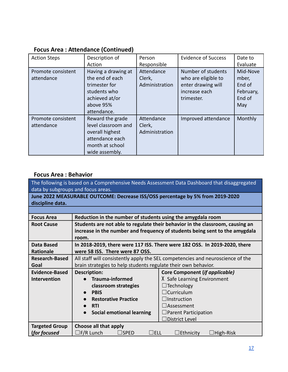| <b>Action Steps</b>              | Description of<br>Action                                                                                              | Person<br>Responsible                  | <b>Evidence of Success</b>                                                                     | Date to<br>Evaluate                                       |
|----------------------------------|-----------------------------------------------------------------------------------------------------------------------|----------------------------------------|------------------------------------------------------------------------------------------------|-----------------------------------------------------------|
| Promote consistent<br>attendance | Having a drawing at<br>the end of each<br>trimester for<br>students who<br>achieved at/or<br>above 95%<br>attendance. | Attendance<br>Clerk,<br>Administration | Number of students<br>who are eligible to<br>enter drawing will<br>increase each<br>trimester. | Mid-Nove<br>mber,<br>End of<br>February,<br>End of<br>May |
| Promote consistent<br>attendance | Reward the grade<br>level classroom and<br>overall highest<br>attendance each<br>month at school<br>wide assembly.    | Attendance<br>Clerk,<br>Administration | Improved attendance                                                                            | Monthly                                                   |

## **Focus Area : Attendance (Continued)**

## <span id="page-17-0"></span>**Focus Area : Behavior**

The following is based on a Comprehensive Needs Assessment Data Dashboard that disaggregated data by subgroups and focus areas.

**June 2022 MEASURABLE OUTCOME: Decrease ISS/OSS percentage by 5% from 2019-2020 discipline data.**

| <b>Focus Area</b>     | Reduction in the number of students using the amygdala room    |                                                                                |  |  |
|-----------------------|----------------------------------------------------------------|--------------------------------------------------------------------------------|--|--|
| <b>Root Cause</b>     |                                                                | Students are not able to regulate their behavior in the classroom, causing an  |  |  |
|                       |                                                                | increase in the number and frequency of students being sent to the amygdala    |  |  |
|                       | room.                                                          |                                                                                |  |  |
| Data Based            |                                                                | In 2018-2019, there were 117 ISS. There were 182 OSS. In 2019-2020, there      |  |  |
| <b>Rationale</b>      | were 58 ISS. There were 87 OSS.                                |                                                                                |  |  |
| <b>Research-Based</b> |                                                                | All staff will consistently apply the SEL competencies and neuroscience of the |  |  |
| Goal                  | brain strategies to help students regulate their own behavior. |                                                                                |  |  |
| Evidence-Based        | <b>Core Component (if applicable)</b><br><b>Description:</b>   |                                                                                |  |  |
| <b>Intervention</b>   | <b>Trauma-informed</b>                                         | X Safe Learning Environment                                                    |  |  |
|                       | classroom strategies                                           | $\Box$ Technology                                                              |  |  |
|                       | <b>PBIS</b>                                                    | $\Box$ Curriculum                                                              |  |  |
|                       | <b>Restorative Practice</b>                                    | $\Box$ Instruction                                                             |  |  |
|                       | <b>RTI</b>                                                     | $\sqcup$ Assessment                                                            |  |  |
|                       | <b>Social emotional learning</b>                               | $\Box$ Parent Participation                                                    |  |  |
|                       |                                                                | $\Box$ District Level                                                          |  |  |
| <b>Targeted Group</b> | Choose all that apply                                          |                                                                                |  |  |
| (for focused          | $\square$ F/R Lunch<br>⊥ELL<br>$\sqcup$ SPED                   | $\Box$ Ethnicity<br>$\Box$ High-Risk                                           |  |  |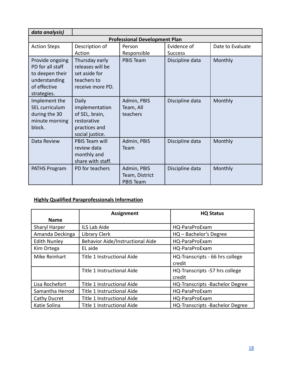| data analysis)                                                                                         |                                                                                              |                                                   |                               |                  |  |  |
|--------------------------------------------------------------------------------------------------------|----------------------------------------------------------------------------------------------|---------------------------------------------------|-------------------------------|------------------|--|--|
| <b>Professional Development Plan</b>                                                                   |                                                                                              |                                                   |                               |                  |  |  |
| <b>Action Steps</b>                                                                                    | Description of<br>Action                                                                     | Person<br>Responsible                             | Evidence of<br><b>Success</b> | Date to Evaluate |  |  |
| Provide ongoing<br>PD for all staff<br>to deepen their<br>understanding<br>of effective<br>strategies. | Thursday early<br>releases will be<br>set aside for<br>teachers to<br>receive more PD.       | <b>PBIS Team</b>                                  | Discipline data               | Monthly          |  |  |
| Implement the<br><b>SEL curriculum</b><br>during the 30<br>minute morning<br>block.                    | Daily<br>implementation<br>of SEL, brain,<br>restorative<br>practices and<br>social justice. | Admin, PBIS<br>Team, All<br>teachers              | Discipline data               | Monthly          |  |  |
| Data Review                                                                                            | <b>PBIS Team will</b><br>review data<br>monthly and<br>share with staff.                     | Admin, PBIS<br>Team                               | Discipline data               | Monthly          |  |  |
| PATHS Program                                                                                          | PD for teachers                                                                              | Admin, PBIS<br>Team, District<br><b>PBIS Team</b> | Discipline data               | Monthly          |  |  |

## <span id="page-18-0"></span>**Highly Qualified Paraprofessionals Information**

|                     | <b>Assignment</b>                | <b>HQ Status</b>                          |
|---------------------|----------------------------------|-------------------------------------------|
| <b>Name</b>         |                                  |                                           |
| Sharyl Harper       | ILS Lab Aide                     | HQ-ParaProExam                            |
| Amanda Deckinga     | <b>Library Clerk</b>             | HQ - Bachelor's Degree                    |
| <b>Edith Nunley</b> | Behavior Aide/Instructional Aide | HQ-ParaProExam                            |
| Kim Ortega          | EL aide                          | HQ-ParaProExam                            |
| Mike Reinhart       | Title 1 Instructional Aide       | HQ-Transcripts - 66 hrs college<br>credit |
|                     | Title 1 Instructional Aide       | HQ-Transcripts -57 hrs college<br>credit  |
| Lisa Rochefort      | Title 1 Instructional Aide       | <b>HQ-Transcripts -Bachelor Degree</b>    |
| Samantha Herrod     | Title 1 Instructional Aide       | HQ-ParaProExam                            |
| Cathy Ducret        | Title 1 Instructional Aide       | HQ-ParaProExam                            |
| Katie Solina        | Title 1 Instructional Aide       | <b>HQ-Transcripts -Bachelor Degree</b>    |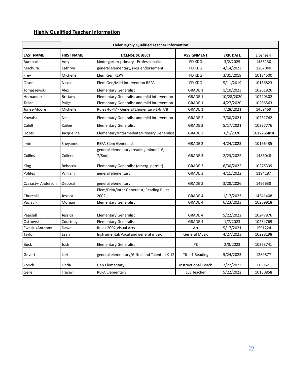## <span id="page-19-0"></span>**Highly Qualified Teacher Information**

| <b>Fieler Highly Qualified Teacher Information</b> |                   |                                                     |                            |                  |             |
|----------------------------------------------------|-------------------|-----------------------------------------------------|----------------------------|------------------|-------------|
| <b>LAST NAME</b>                                   | <b>FIRST NAME</b> | <b>LICENSE SUBJECT</b>                              | <b>ASSIGNMENT</b>          | <b>EXP. DATE</b> | License #   |
| <b>Burkhart</b>                                    | Amy               | kindergarten-primary - Professionalize              | <b>FD KDG</b>              | 3/2/2025         | 1485130     |
| Machura                                            | Kathryn           | general elementary, (kdg endorsement)               | FD KDG                     | 4/14/2023        | 1267040     |
| Frey                                               | Michelle          | Elem Gen REPA                                       | <b>FD KDG</b>              | 3/31/2019        | 10184500    |
| Olson                                              | Nicole            | Elem Gen/Mild Intervention REPA                     | FD KDG                     | 5/11/2019        | 10186823    |
| Tomaszewski                                        | Alex              | <b>Elementary Generalist</b>                        | GRADE 1                    | 1/10/2023        | 10261826    |
| Hernandez                                          | Brittany          | Elementary Generalist and mild intervention         | <b>GRADE 1</b>             | 10/28/2020       | 10220302    |
| Talian                                             | Paige             | Elementary Generalist and mild intervention         | <b>GRADE 1</b>             | 4/27/2020        | 10206563    |
| Jones-Moore                                        | Michelle          | Rules 46-47 - General Elementary-1-6 7/8            | <b>GRADE 1</b>             | 7/28/2021        | 1459469     |
| Kowalski                                           | Nina              | Elementary Generalist and mild intervention         | <b>GRADE 2</b>             | 7/30/2021        | 10231742    |
| Cahill                                             | Kailee            | <b>Elementary Generalist</b>                        | <b>GRADE 2</b>             | 5/17/2021        | 10227776    |
| Hoots                                              | Jacqueline        | Elementary/Intermediate/Primary Generalist          | <b>GRADE 2</b>             | 6/1/2020         | 1612266Inst |
| Irvin                                              | Sheyanne          | <b>REPA Elem Generalist</b>                         | <b>GRADE 2</b>             | 4/24/2023        | 10166435    |
| Collins                                            | Colleen           | general elementary (reading minor 1-6,<br>$7/8$ nd) | <b>GRADE 3</b>             | 2/23/2022        | 1486048     |
| King                                               | Rebecca           | Elementary Generalist (emerg. permit)               | GRADE 3                    | 6/30/2022        | 10275339    |
| Polites                                            | William           | general elementary                                  | <b>GRADE 3</b>             | 4/11/2022        | 1194187     |
| Czazasty-Anderson                                  | Deborah           | general elementary                                  | <b>GRADE 3</b>             | 3/28/2026        | 1495638     |
| Churchill                                          | Jessica           | Elem/Prim/Inter Generalist, Reading Rules<br>2002   | <b>GRADE 4</b>             | 1/17/2023        | 14541408    |
| Vaclavik                                           | Morgan            | <b>Elementary Generalist</b>                        | <b>GRADE 4</b>             | 6/23/2023        | 10269918    |
| Pearsall                                           | Jessica           | <b>Elementary Generalist</b>                        | <b>GRADE 4</b>             | 5/22/2022        | 10247876    |
| Ostrowski                                          | Courtney          | <b>Elementary Generalist</b>                        | <b>GRADE 4</b>             | 1/7/2023         | 10234769    |
| EwasiukAnthony                                     | Dawn              | Rules 2002 Visual Arts                              | Art                        | 5/17/2021        | 1591224     |
| Taylor                                             | Leah              | Instrumental/Vocal and general music                | <b>General Music</b>       | 4/27/2023        | 10228198    |
| <b>Buck</b>                                        | Josh              | <b>Elementary Generalist</b>                        | PE                         | 2/8/2023         | 10263741    |
| Govert                                             | Lori              | general elementary/Gifted and Talented K-12         | Title 1 Reading            | 5/24/2023        | 1289877     |
| Zorich                                             | Linda             | Gen Elementary                                      | <b>Instructional Coach</b> | 2/27/2023        | 1150621     |
| Geile                                              | Tracey            | <b>REPA Elementary</b>                              | <b>ESL Teacher</b>         | 5/22/2022        | 10130858    |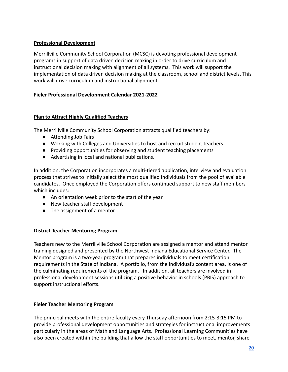## <span id="page-20-0"></span>**Professional Development**

Merrillville Community School Corporation (MCSC) is devoting professional development programs in support of data driven decision making in order to drive curriculum and instructional decision making with alignment of all systems. This work will support the implementation of data driven decision making at the classroom, school and district levels. This work will drive curriculum and instructional alignment.

## **Fieler Professional Development Calendar 2021-2022**

## <span id="page-20-1"></span>**Plan to Attract Highly Qualified Teachers**

The Merrillville Community School Corporation attracts qualified teachers by:

- Attending Job Fairs
- Working with Colleges and Universities to host and recruit student teachers
- Providing opportunities for observing and student teaching placements
- Advertising in local and national publications.

In addition, the Corporation incorporates a multi-tiered application, interview and evaluation process that strives to initially select the most qualified individuals from the pool of available candidates. Once employed the Corporation offers continued support to new staff members which includes:

- An orientation week prior to the start of the year
- New teacher staff development
- The assignment of a mentor

## **District Teacher Mentoring Program**

Teachers new to the Merrillville School Corporation are assigned a mentor and attend mentor training designed and presented by the Northwest Indiana Educational Service Center. The Mentor program is a two-year program that prepares individuals to meet certification requirements in the State of Indiana. A portfolio, from the individual's content area, is one of the culminating requirements of the program. In addition, all teachers are involved in professional development sessions utilizing a positive behavior in schools (PBIS) approach to support instructional efforts.

## **Fieler Teacher Mentoring Program**

The principal meets with the entire faculty every Thursday afternoon from 2:15-3:15 PM to provide professional development opportunities and strategies for instructional improvements particularly in the areas of Math and Language Arts. Professional Learning Communities have also been created within the building that allow the staff opportunities to meet, mentor, share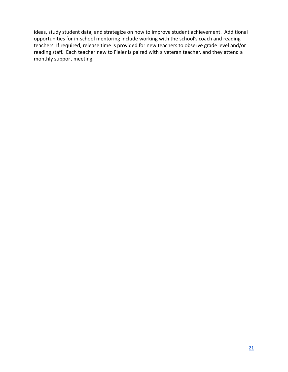ideas, study student data, and strategize on how to improve student achievement. Additional opportunities for in-school mentoring include working with the school's coach and reading teachers. If required, release time is provided for new teachers to observe grade level and/or reading staff. Each teacher new to Fieler is paired with a veteran teacher, and they attend a monthly support meeting.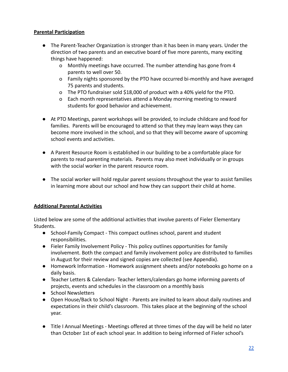## <span id="page-22-0"></span>**Parental Participation**

- The Parent-Teacher Organization is stronger than it has been in many years. Under the direction of two parents and an executive board of five more parents, many exciting things have happened:
	- o Monthly meetings have occurred. The number attending has gone from 4 parents to well over 50.
	- o Family nights sponsored by the PTO have occurred bi-monthly and have averaged 75 parents and students.
	- o The PTO fundraiser sold \$18,000 of product with a 40% yield for the PTO.
	- o Each month representatives attend a Monday morning meeting to reward students for good behavior and achievement.
- At PTO Meetings, parent workshops will be provided, to include childcare and food for families. Parents will be encouraged to attend so that they may learn ways they can become more involved in the school, and so that they will become aware of upcoming school events and activities.
- A Parent Resource Room is established in our building to be a comfortable place for parents to read parenting materials. Parents may also meet individually or in groups with the social worker in the parent resource room.
- The social worker will hold regular parent sessions throughout the year to assist families in learning more about our school and how they can support their child at home.

## **Additional Parental Activities**

Listed below are some of the additional activities that involve parents of Fieler Elementary Students.

- School-Family Compact This compact outlines school, parent and student responsibilities.
- Fieler Family Involvement Policy This policy outlines opportunities for family involvement. Both the compact and family involvement policy are distributed to families in August for their review and signed copies are collected (see Appendix).
- Homework Information Homework assignment sheets and/or notebooks go home on a daily basis.
- Teacher Letters & Calendars- Teacher letters/calendars go home informing parents of projects, events and schedules in the classroom on a monthly basis
- School Newsletters
- Open House/Back to School Night Parents are invited to learn about daily routines and expectations in their child's classroom. This takes place at the beginning of the school year.
- Title I Annual Meetings Meetings offered at three times of the day will be held no later than October 1st of each school year. In addition to being informed of Fieler school's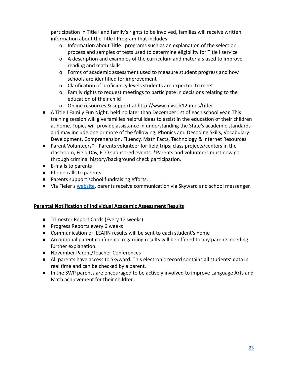participation in Title I and family's rights to be involved, families will receive written information about the Title I Program that includes:

- o Information about Title I programs such as an explanation of the selection process and samples of tests used to determine eligibility for Title I service
- o A description and examples of the curriculum and materials used to improve reading and math skills
- o Forms of academic assessment used to measure student progress and how schools are identified for improvement
- o Clarification of proficiency levels students are expected to meet
- o Family rights to request meetings to participate in decisions relating to the education of their child
- o Online resources & support at http://www.mvsc.k12.in.us/titlei
- A Title I Family Fun Night, held no later than December 1st of each school year. This training session will give families helpful ideas to assist in the education of their children at home. Topics will provide assistance in understanding the State's academic standards and may include one or more of the following; Phonics and Decoding Skills, Vocabulary Development, Comprehension, Fluency, Math Facts, Technology & Internet Resources
- Parent Volunteers\* Parents volunteer for field trips, class projects/centers in the classroom, Field Day, PTO sponsored events. \*Parents and volunteers must now go through criminal history/background check participation.
- E-mails to parents
- Phone calls to parents
- Parents support school fundraising efforts.
- Via Fieler's [website](https://in01001403.schoolwires.net/page/27), parents receive communication via Skyward and school messenger.

## <span id="page-23-0"></span>**Parental Notification of Individual Academic Assessment Results**

- Trimester Report Cards (Every 12 weeks)
- Progress Reports every 6 weeks
- Communication of ILEARN results will be sent to each student's home
- An optional parent conference regarding results will be offered to any parents needing further explanation.
- November Parent/Teacher Conferences
- All parents have access to Skyward. This electronic record contains all students' data in real time and can be checked by a parent.
- In the SWP parents are encouraged to be actively involved to improve Language Arts and Math achievement for their children.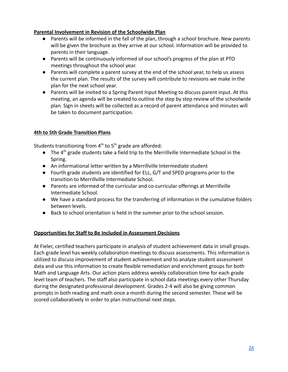## <span id="page-24-0"></span>**Parental Involvement in Revision of the Schoolwide Plan**

- Parents will be informed in the fall of the plan, through a school brochure. New parents will be given the brochure as they arrive at our school. Information will be provided to parents in their language.
- Parents will be continuously informed of our school's progress of the plan at PTO meetings throughout the school year.
- Parents will complete a parent survey at the end of the school year, to help us assess the current plan. The results of the survey will contribute to revisions we make in the plan for the next school year.
- Parents will be invited to a Spring Parent Input Meeting to discuss parent input. At this meeting, an agenda will be created to outline the step by step review of the schoolwide plan. Sign in sheets will be collected as a record of parent attendance and minutes will be taken to document participation.

## <span id="page-24-1"></span>**4th to 5th Grade Transition Plans**

Students transitioning from  $4^{\text{th}}$  to  $5^{\text{th}}$  grade are afforded:

- $\bullet$  The 4<sup>th</sup> grade students take a field trip to the Merrillville Intermediate School in the Spring.
- An informational letter written by a Merrillville Intermediate student
- Fourth grade students are identified for ELL, G/T and SPED programs prior to the transition to Merrillville Intermediate School.
- Parents are informed of the curricular and co-curricular offerings at Merrillville Intermediate School.
- We have a standard process for the transferring of information in the cumulative folders between levels.
- Back to school orientation is held in the summer prior to the school session.

## <span id="page-24-2"></span>**Opportunities for Staff to Be Included in Assessment Decisions**

At Fieler, certified teachers participate in analysis of student achievement data in small groups. Each grade level has weekly collaboration meetings to discuss assessments. This information is utilized to discuss improvement of student achievement and to analyze student assessment data and use this information to create flexible remediation and enrichment groups for both Math and Language Arts. Our action plans address weekly collaboration time for each grade level team of teachers. The staff also participate in school data meetings every other Thursday during the designated professional development. Grades 2-4 will also be giving common prompts in both reading and math once a month during the second semester. These will be scored collaboratively in order to plan instructional next steps.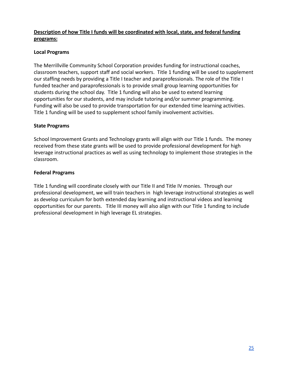## <span id="page-25-0"></span>**Description of how Title I funds will be coordinated with local, state, and federal funding programs:**

## **Local Programs**

The Merrillville Community School Corporation provides funding for instructional coaches, classroom teachers, support staff and social workers. Title 1 funding will be used to supplement our staffing needs by providing a Title I teacher and paraprofessionals. The role of the Title I funded teacher and paraprofessionals is to provide small group learning opportunities for students during the school day. Title 1 funding will also be used to extend learning opportunities for our students, and may include tutoring and/or summer programming. Funding will also be used to provide transportation for our extended time learning activities. Title 1 funding will be used to supplement school family involvement activities.

## **State Programs**

School Improvement Grants and Technology grants will align with our Title 1 funds. The money received from these state grants will be used to provide professional development for high leverage instructional practices as well as using technology to implement those strategies in the classroom.

## **Federal Programs**

Title 1 funding will coordinate closely with our Title II and Title IV monies. Through our professional development, we will train teachers in high leverage instructional strategies as well as develop curriculum for both extended day learning and instructional videos and learning opportunities for our parents. Title III money will also align with our Title 1 funding to include professional development in high leverage EL strategies.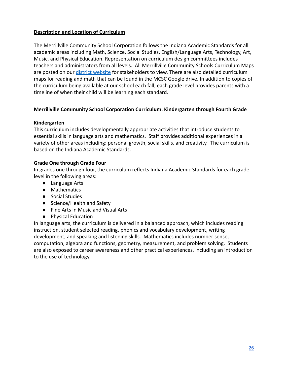## <span id="page-26-0"></span>**Description and Location of Curriculum**

The Merrillville Community School Corporation follows the Indiana Academic Standards for all academic areas including Math, Science, Social Studies, English/Language Arts, Technology, Art, Music, and Physical Education. Representation on curriculum design committees includes teachers and administrators from all levels. All Merrillville Community Schools Curriculum Maps are posted on our [district website](https://in01001403.schoolwires.net/site/Default.aspx?PageID=222) for stakeholders to view. There are also detailed curriculum maps for reading and math that can be found in the MCSC Google drive. In addition to copies of the curriculum being available at our school each fall, each grade level provides parents with a timeline of when their child will be learning each standard.

## **Merrillville Community School Corporation Curriculum: Kindergarten through Fourth Grade**

## **Kindergarten**

This curriculum includes developmentally appropriate activities that introduce students to essential skills in language arts and mathematics. Staff provides additional experiences in a variety of other areas including: personal growth, social skills, and creativity. The curriculum is based on the Indiana Academic Standards.

#### **Grade One through Grade Four**

In grades one through four, the curriculum reflects Indiana Academic Standards for each grade level in the following areas:

- Language Arts
- Mathematics
- Social Studies
- Science/Health and Safety
- Fine Arts in Music and Visual Arts
- Physical Education

In language arts, the curriculum is delivered in a balanced approach, which includes reading instruction, student selected reading, phonics and vocabulary development, writing development, and speaking and listening skills. Mathematics includes number sense, computation, algebra and functions, geometry, measurement, and problem solving. Students are also exposed to career awareness and other practical experiences, including an introduction to the use of technology.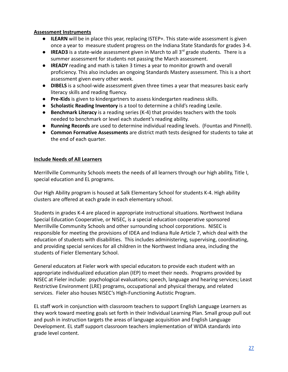#### <span id="page-27-0"></span>**Assessment Instruments**

- **ILEARN** will be in place this year, replacing ISTEP+. This state-wide assessment is given once a year to measure student progress on the Indiana State Standards for grades 3-4.
- **IREAD3** is a state-wide assessment given in March to all 3<sup>rd</sup> grade students. There is a summer assessment for students not passing the March assessment.
- **IREADY** reading and math is taken 3 times a year to monitor growth and overall proficiency. This also includes an ongoing Standards Mastery assessment. This is a short assessment given every other week.
- **DIBELS** is a school-wide assessment given three times a year that measures basic early literacy skills and reading fluency.
- **Pre-Kids** is given to kindergartners to assess kindergarten readiness skills.
- **Scholastic Reading Inventory** is a tool to determine a child's reading Lexile.
- **Benchmark Literacy** is a reading series (K-4) that provides teachers with the tools needed to benchmark or level each student's reading ability.
- **Running Records** are used to determine individual reading levels. (Fountas and Pinnell).
- **Common Formative Assessments** are district math tests designed for students to take at the end of each quarter.

## <span id="page-27-1"></span>**Include Needs of All Learners**

Merrillville Community Schools meets the needs of all learners through our high ability, Title I, special education and EL programs.

Our High Ability program is housed at Salk Elementary School for students K-4. High ability clusters are offered at each grade in each elementary school.

Students in grades K-4 are placed in appropriate instructional situations. Northwest Indiana Special Education Cooperative, or NISEC, is a special education cooperative sponsored Merrillville Community Schools and other surrounding school corporations. NISEC is responsible for meeting the provisions of IDEA and Indiana Rule Article 7, which deal with the education of students with disabilities. This includes administering, supervising, coordinating, and providing special services for all children in the Northwest Indiana area, including the students of Fieler Elementary School.

General educators at Fieler work with special educators to provide each student with an appropriate individualized education plan (IEP) to meet their needs. Programs provided by NISEC at Fieler include: psychological evaluations; speech, language and hearing services; Least Restrictive Environment (LRE) programs, occupational and physical therapy, and related services. Fieler also houses NISEC's High-Functioning Autistic Program.

EL staff work in conjunction with classroom teachers to support English Language Learners as they work toward meeting goals set forth in their Individual Learning Plan. Small group pull out and push in instruction targets the areas of language acquisition and English Language Development. EL staff support classroom teachers implementation of WIDA standards into grade level content.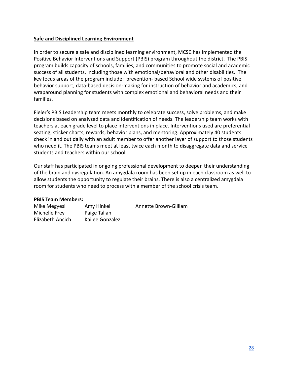#### <span id="page-28-0"></span>**Safe and Disciplined Learning Environment**

In order to secure a safe and disciplined learning environment, MCSC has implemented the Positive Behavior Interventions and Support (PBIS) program throughout the district. The PBIS program builds capacity of schools, families, and communities to promote social and academic success of all students, including those with emotional/behavioral and other disabilities. The key focus areas of the program include: prevention- based School wide systems of positive behavior support, data-based decision-making for instruction of behavior and academics, and wraparound planning for students with complex emotional and behavioral needs and their families.

Fieler's PBIS Leadership team meets monthly to celebrate success, solve problems, and make decisions based on analyzed data and identification of needs. The leadership team works with teachers at each grade level to place interventions in place. Interventions used are preferential seating, sticker charts, rewards, behavior plans, and mentoring. Approximately 40 students check in and out daily with an adult member to offer another layer of support to those students who need it. The PBIS teams meet at least twice each month to disaggregate data and service students and teachers within our school.

Our staff has participated in ongoing professional development to deepen their understanding of the brain and dysregulation. An amygdala room has been set up in each classroom as well to allow students the opportunity to regulate their brains. There is also a centralized amygdala room for students who need to process with a member of the school crisis team.

#### **PBIS Team Members:**

| Mike Megyesi     | Amy Hinkel      | Annette Brown-Gilliam |
|------------------|-----------------|-----------------------|
| Michelle Frey    | Paige Talian    |                       |
| Elizabeth Ancich | Kailee Gonzalez |                       |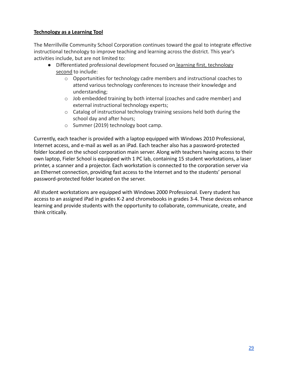## <span id="page-29-0"></span>**Technology as a Learning Tool**

The Merrillville Community School Corporation continues toward the goal to integrate effective instructional technology to improve teaching and learning across the district. This year's activities include, but are not limited to:

- Differentiated professional development focused on learning first, technology second to include:
	- o Opportunities for technology cadre members and instructional coaches to attend various technology conferences to increase their knowledge and understanding;
	- $\circ$  Job embedded training by both internal (coaches and cadre member) and external instructional technology experts;
	- o Catalog of instructional technology training sessions held both during the school day and after hours;
	- o Summer (2019) technology boot camp.

Currently, each teacher is provided with a laptop equipped with Windows 2010 Professional, Internet access, and e-mail as well as an iPad. Each teacher also has a password-protected folder located on the school corporation main server. Along with teachers having access to their own laptop, Fieler School is equipped with 1 PC lab, containing 15 student workstations, a laser printer, a scanner and a projector. Each workstation is connected to the corporation server via an Ethernet connection, providing fast access to the Internet and to the students' personal password-protected folder located on the server.

All student workstations are equipped with Windows 2000 Professional. Every student has access to an assigned iPad in grades K-2 and chromebooks in grades 3-4. These devices enhance learning and provide students with the opportunity to collaborate, communicate, create, and think critically.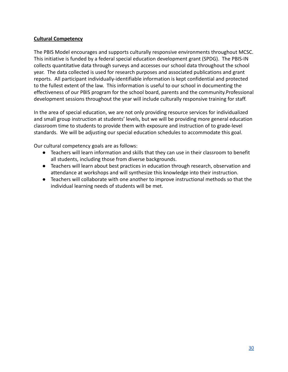#### <span id="page-30-0"></span>**Cultural Competency**

The PBIS Model encourages and supports culturally responsive environments throughout MCSC. This initiative is funded by a federal special education development grant (SPDG). The PBIS-IN collects quantitative data through surveys and accesses our school data throughout the school year. The data collected is used for research purposes and associated publications and grant reports. All participant individually-identifiable information is kept confidential and protected to the fullest extent of the law. This information is useful to our school in documenting the effectiveness of our PBIS program for the school board, parents and the community.Professional development sessions throughout the year will include culturally responsive training for staff.

In the area of special education, we are not only providing resource services for individualized and small group instruction at students' levels, but we will be providing more general education classroom time to students to provide them with exposure and instruction of to grade-level standards. We will be adjusting our special education schedules to accommodate this goal.

Our cultural competency goals are as follows:

- Teachers will learn information and skills that they can use in their classroom to benefit all students, including those from diverse backgrounds.
- Teachers will learn about best practices in education through research, observation and attendance at workshops and will synthesize this knowledge into their instruction.
- Teachers will collaborate with one another to improve instructional methods so that the individual learning needs of students will be met.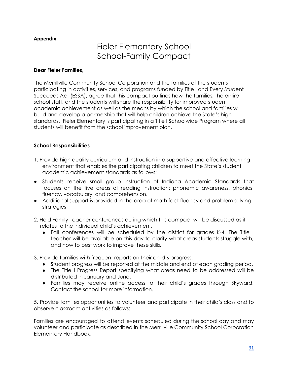## <span id="page-31-1"></span><span id="page-31-0"></span>**Appendix**

## Fieler Elementary School School-Family Compact

#### **Dear Fieler Families,**

The Merrillville Community School Corporation and the families of the students participating in activities, services, and programs funded by Title I and Every Student Succeeds Act (ESSA), agree that this compact outlines how the families, the entire school staff, and the students will share the responsibility for improved student academic achievement as well as the means by which the school and families will build and develop a partnership that will help children achieve the State's high standards. Fieler Elementary is participating in a Title I Schoolwide Program where all students will benefit from the school improvement plan.

#### **School Responsibilities**

- 1. Provide high quality curriculum and instruction in a supportive and effective learning environment that enables the participating children to meet the State's student academic achievement standards as follows:
- Students receive small group instruction of Indiana Academic Standards that focuses on the five areas of reading instruction: phonemic awareness, phonics, fluency, vocabulary, and comprehension.
- Additional support is provided in the area of math fact fluency and problem solving strategies
- 2. Hold Family-Teacher conferences during which this compact will be discussed as it relates to the individual child's achievement.
	- Fall conferences will be scheduled by the district for grades K-4. The Title I teacher will be available on this day to clarify what areas students struggle with, and how to best work to improve these skills.
- 3. Provide families with frequent reports on their child's progress.
	- Student progress will be reported at the middle and end of each grading period.
	- The Title I Progress Report specifying what areas need to be addressed will be distributed in January and June.
	- Families may receive online access to their child's grades through Skyward. Contact the school for more information.

5. Provide families opportunities to volunteer and participate in their child's class and to observe classroom activities as follows:

Families are encouraged to attend events scheduled during the school day and may volunteer and participate as described in the Merrillville Community School Corporation Elementary Handbook.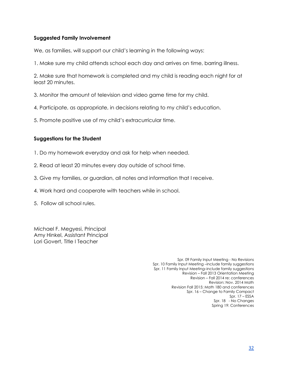## **Suggested Family Involvement**

We, as families, will support our child's learning in the following ways:

1. Make sure my child attends school each day and arrives on time, barring illness.

2. Make sure that homework is completed and my child is reading each night for at least 20 minutes.

3. Monitor the amount of television and video game time for my child.

- 4. Participate, as appropriate, in decisions relating to my child's education.
- 5. Promote positive use of my child's extracurricular time.

## **Suggestions for the Student**

- 1. Do my homework everyday and ask for help when needed.
- 2. Read at least 20 minutes every day outside of school time.
- 3. Give my families, or guardian, all notes and information that I receive.
- 4. Work hard and cooperate with teachers while in school.
- 5. Follow all school rules.

Michael F. Megyesi, Principal Amy Hinkel, Assistant Principal Lori Govert, Title I Teacher

> Spr. 09 Family Input Meeting - No Revisions Spr. 10 Family Input Meeting –include family suggestions Spr. 11 Family Input Meeting–include family suggestions Revision – Fall 2013 Orientation Meeting Revision – Fall 2014 re: conferences Revision: Nov. 2014 Math Revision Fall 2015: Math 180 and conferences Spr. 16 – Change to Family Compact Spr. 17 – ESSA Spr. 18 - No Changes Spring 19: Conferences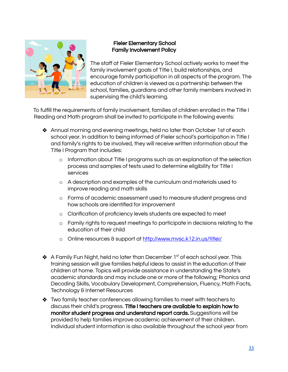<span id="page-33-0"></span>

## Fieler Elementary School Family Involvement Policy

The staff at Fieler Elementary School actively works to meet the family involvement goals of Title I, build relationships, and encourage family participation in all aspects of the program. The education of children is viewed as a partnership between the school, families, guardians and other family members involved in supervising the child's learning.

To fulfill the requirements of family involvement, families of children enrolled in the Title I Reading and Math program shall be invited to participate in the following events:

- ❖ Annual morning and evening meetings, held no later than October 1st of each school year. In addition to being informed of Fieler school's participation in Title I and family's rights to be involved, they will receive written information about the Title I Program that includes:
	- o Information about Title I programs such as an explanation of the selection process and samples of tests used to determine eligibility for Title I services
	- o A description and examples of the curriculum and materials used to improve reading and math skills
	- o Forms of academic assessment used to measure student progress and how schools are identified for improvement
	- o Clarification of proficiency levels students are expected to meet
	- o Family rights to request meetings to participate in decisions relating to the education of their child
	- o Online resources & support at <http://www.mvsc.k12.in.us/titlei/>
- $\triangleleft$  A Family Fun Night, held no later than December 1st of each school year. This training session will give families helpful ideas to assist in the education of their children at home. Topics will provide assistance in understanding the State's academic standards and may include one or more of the following; Phonics and Decoding Skills, Vocabulary Development, Comprehension, Fluency, Math Facts, Technology & Internet Resources
- ❖ Two family teacher conferences allowing families to meet with teachers to discuss their child's progress. Title I teachers are available to explain how to monitor student progress and understand report cards. Suggestions will be provided to help families improve academic achievement of their children. Individual student information is also available throughout the school year from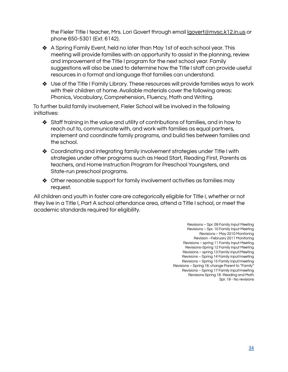the Fieler Title I teacher, Mrs. Lori Govert through email lgovert[@mvsc.k12.in.us](mailto:sfalls@mvsc.k12.in.us) or phone 650-5301 (Ext. 6142).

- ❖ A Spring Family Event, held no later than May 1st of each school year. This meeting will provide families with an opportunity to assist in the planning, review and improvement of the Title I program for the next school year. Family suggestions will also be used to determine how the Title I staff can provide useful resources in a format and language that families can understand.
- ❖ Use of the Title I Family Library. These resources will provide families ways to work with their children at home. Available materials cover the following areas: Phonics, Vocabulary, Comprehension, Fluency, Math and Writing.

To further build family involvement, Fieler School will be involved in the following initiatives:

- ❖ Staff training in the value and utility of contributions of families, and in how to reach out to, communicate with, and work with families as equal partners, implement and coordinate family programs, and build ties between families and the school.
- ❖ Coordinating and integrating family involvement strategies under Title I with strategies under other programs such as Head Start, Reading First, Parents as teachers, and Home Instruction Program for Preschool Youngsters, and State-run preschool programs.
- ❖ Other reasonable support for family involvement activities as families may request.

All children and youth in foster care are categorically eligible for Title I, whether or not they live in a Title I, Part A school attendance area, attend a Title I school, or meet the academic standards required for eligibility.

> Revisions – Spr. 09 Family Input Meeting Revisions – Spr. 10 Family Input Meeting Revisions – May 2010 Monitoring Revision –February 2011 Monitoring Revisions – spring 11 Family Input Meeting Revisions-Spring 12 Family Input Meeting Revisions – spring 13 Family Input/Meeting Revisions – Spring 14 Family input/meeting Revisions – Spring 15 Family input/meeting Revisions – Spring 16: change Parent to "Family" Revisions – Spring 17 Family input/meeting Revisions Spring 18 -Reading and Math Spr. 19 - No revisions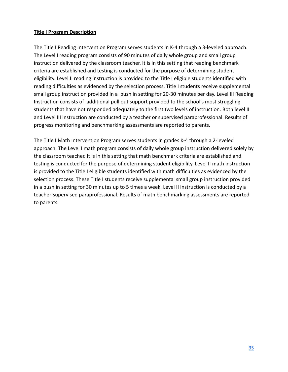## <span id="page-35-0"></span>**Title I Program Description**

The Title I Reading Intervention Program serves students in K-4 through a 3-leveled approach. The Level I reading program consists of 90 minutes of daily whole group and small group instruction delivered by the classroom teacher. It is in this setting that reading benchmark criteria are established and testing is conducted for the purpose of determining student eligibility. Level II reading instruction is provided to the Title I eligible students identified with reading difficulties as evidenced by the selection process. Title I students receive supplemental small group instruction provided in a push in setting for 20-30 minutes per day. Level III Reading Instruction consists of additional pull out support provided to the school's most struggling students that have not responded adequately to the first two levels of instruction. Both level II and Level III instruction are conducted by a teacher or supervised paraprofessional. Results of progress monitoring and benchmarking assessments are reported to parents.

The Title I Math Intervention Program serves students in grades K-4 through a 2-leveled approach. The Level I math program consists of daily whole group instruction delivered solely by the classroom teacher. It is in this setting that math benchmark criteria are established and testing is conducted for the purpose of determining student eligibility. Level II math instruction is provided to the Title I eligible students identified with math difficulties as evidenced by the selection process. These Title I students receive supplemental small group instruction provided in a push in setting for 30 minutes up to 5 times a week. Level II instruction is conducted by a teacher-supervised paraprofessional. Results of math benchmarking assessments are reported to parents.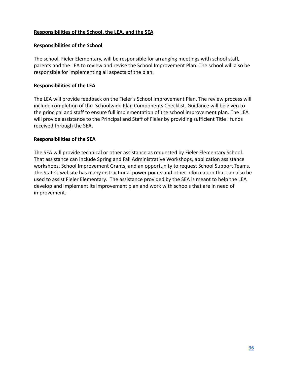## <span id="page-36-0"></span>**Responsibilities of the School, the LEA, and the SEA**

#### **Responsibilities of the School**

The school, Fieler Elementary, will be responsible for arranging meetings with school staff, parents and the LEA to review and revise the School Improvement Plan. The school will also be responsible for implementing all aspects of the plan.

#### **Responsibilities of the LEA**

The LEA will provide feedback on the Fieler's School Improvement Plan. The review process will include completion of the Schoolwide Plan Components Checklist. Guidance will be given to the principal and staff to ensure full implementation of the school improvement plan. The LEA will provide assistance to the Principal and Staff of Fieler by providing sufficient Title I funds received through the SEA.

#### **Responsibilities of the SEA**

The SEA will provide technical or other assistance as requested by Fieler Elementary School. That assistance can include Spring and Fall Administrative Workshops, application assistance workshops, School Improvement Grants, and an opportunity to request School Support Teams. The State's website has many instructional power points and other information that can also be used to assist Fieler Elementary. The assistance provided by the SEA is meant to help the LEA develop and implement its improvement plan and work with schools that are in need of improvement.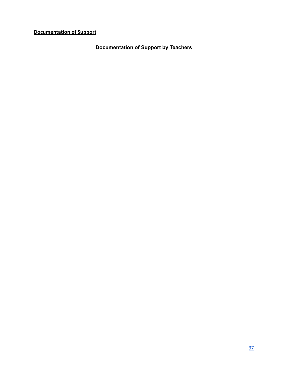<span id="page-37-0"></span>**Documentation of Support**

**Documentation of Support by Teachers**